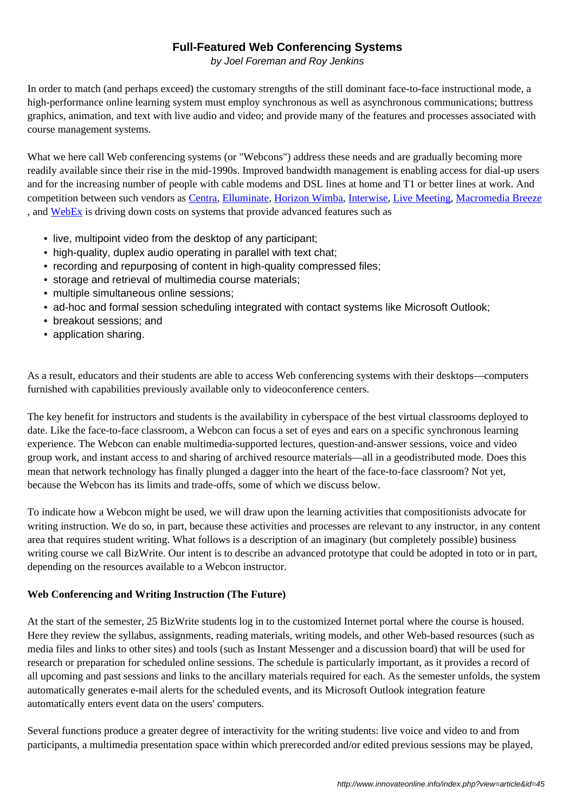#### **Full-Featured Web Conferencing Systems**

by Joel Foreman and Roy Jenkins

In order to match (and perhaps exceed) the customary strengths of the still dominant face-to-face instructional mode, a high-performance online learning system must employ synchronous as well as asynchronous communications; buttress graphics, animation, and text with live audio and video; and provide many of the features and processes associated with course management systems.

What we here call Web conferencing systems (or "Webcons") address these needs and are gradually becoming more readily available since their rise in the mid-1990s. Improved bandwidth management is enabling access for dial-up users and for the increasing number of people with cable modems and DSL lines at home and T1 or better lines at work. And competition between such vendors as Centra, Elluminate, Horizon Wimba, Interwise, Live Meeting, Macromedia Breeze , and WebEx is driving down costs on systems that provide advanced features such as

- live, multipoint video from the desktop of any participant;
- high-quality, duplex audio o[perating](http://www.centra.com/) [in parallel](http://www.elluminate.com/) [with text chat;](http://www.horizonwimba.com/)
- • [record](http://www.webex.com/)ing and repurposing of content in high-quality compressed files;
- storage and retrieval of multimedia course materials;
- multiple simultaneous online sessions;
- ad-hoc and formal session scheduling integrated with contact systems like Microsoft Outlook;
- breakout sessions; and
- application sharing.

As a result, educators and their students are able to access Web conferencing systems with their desktops—computers furnished with capabilities previously available only to videoconference centers.

The key benefit for instructors and students is the availability in cyberspace of the best virtual classrooms deployed to date. Like the face-to-face classroom, a Webcon can focus a set of eyes and ears on a specific synchronous learning experience. The Webcon can enable multimedia-supported lectures, question-and-answer sessions, voice and video group work, and instant access to and sharing of archived resource materials—all in a geodistributed mode. Does this mean that network technology has finally plunged a dagger into the heart of the face-to-face classroom? Not yet, because the Webcon has its limits and trade-offs, some of which we discuss below.

To indicate how a Webcon might be used, we will draw upon the learning activities that compositionists advocate for writing instruction. We do so, in part, because these activities and processes are relevant to any instructor, in any content area that requires student writing. What follows is a description of an imaginary (but completely possible) business writing course we call BizWrite. Our intent is to describe an advanced prototype that could be adopted in toto or in part, depending on the resources available to a Webcon instructor.

# **Web Conferencing and Writing Instruction (The Future)**

At the start of the semester, 25 BizWrite students log in to the customized Internet portal where the course is housed. Here they review the syllabus, assignments, reading materials, writing models, and other Web-based resources (such as media files and links to other sites) and tools (such as Instant Messenger and a discussion board) that will be used for research or preparation for scheduled online sessions. The schedule is particularly important, as it provides a record of all upcoming and past sessions and links to the ancillary materials required for each. As the semester unfolds, the system automatically generates e-mail alerts for the scheduled events, and its Microsoft Outlook integration feature automatically enters event data on the users' computers.

Several functions produce a greater degree of interactivity for the writing students: live voice and video to and from participants, a multimedia presentation space within which prerecorded and/or edited previous sessions may be played,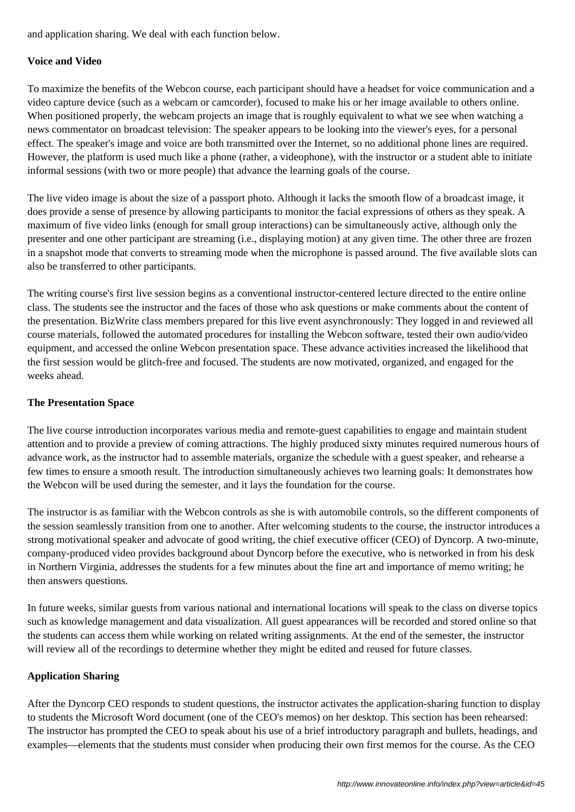and application sharing. We deal with each function below.

## **Voice and Video**

To maximize the benefits of the Webcon course, each participant should have a headset for voice communication and a video capture device (such as a webcam or camcorder), focused to make his or her image available to others online. When positioned properly, the webcam projects an image that is roughly equivalent to what we see when watching a news commentator on broadcast television: The speaker appears to be looking into the viewer's eyes, for a personal effect. The speaker's image and voice are both transmitted over the Internet, so no additional phone lines are required. However, the platform is used much like a phone (rather, a videophone), with the instructor or a student able to initiate informal sessions (with two or more people) that advance the learning goals of the course.

The live video image is about the size of a passport photo. Although it lacks the smooth flow of a broadcast image, it does provide a sense of presence by allowing participants to monitor the facial expressions of others as they speak. A maximum of five video links (enough for small group interactions) can be simultaneously active, although only the presenter and one other participant are streaming (i.e., displaying motion) at any given time. The other three are frozen in a snapshot mode that converts to streaming mode when the microphone is passed around. The five available slots can also be transferred to other participants.

The writing course's first live session begins as a conventional instructor-centered lecture directed to the entire online class. The students see the instructor and the faces of those who ask questions or make comments about the content of the presentation. BizWrite class members prepared for this live event asynchronously: They logged in and reviewed all course materials, followed the automated procedures for installing the Webcon software, tested their own audio/video equipment, and accessed the online Webcon presentation space. These advance activities increased the likelihood that the first session would be glitch-free and focused. The students are now motivated, organized, and engaged for the weeks ahead.

### **The Presentation Space**

The live course introduction incorporates various media and remote-guest capabilities to engage and maintain student attention and to provide a preview of coming attractions. The highly produced sixty minutes required numerous hours of advance work, as the instructor had to assemble materials, organize the schedule with a guest speaker, and rehearse a few times to ensure a smooth result. The introduction simultaneously achieves two learning goals: It demonstrates how the Webcon will be used during the semester, and it lays the foundation for the course.

The instructor is as familiar with the Webcon controls as she is with automobile controls, so the different components of the session seamlessly transition from one to another. After welcoming students to the course, the instructor introduces a strong motivational speaker and advocate of good writing, the chief executive officer (CEO) of Dyncorp. A two-minute, company-produced video provides background about Dyncorp before the executive, who is networked in from his desk in Northern Virginia, addresses the students for a few minutes about the fine art and importance of memo writing; he then answers questions.

In future weeks, similar guests from various national and international locations will speak to the class on diverse topics such as knowledge management and data visualization. All guest appearances will be recorded and stored online so that the students can access them while working on related writing assignments. At the end of the semester, the instructor will review all of the recordings to determine whether they might be edited and reused for future classes.

#### **Application Sharing**

After the Dyncorp CEO responds to student questions, the instructor activates the application-sharing function to display to students the Microsoft Word document (one of the CEO's memos) on her desktop. This section has been rehearsed: The instructor has prompted the CEO to speak about his use of a brief introductory paragraph and bullets, headings, and examples—elements that the students must consider when producing their own first memos for the course. As the CEO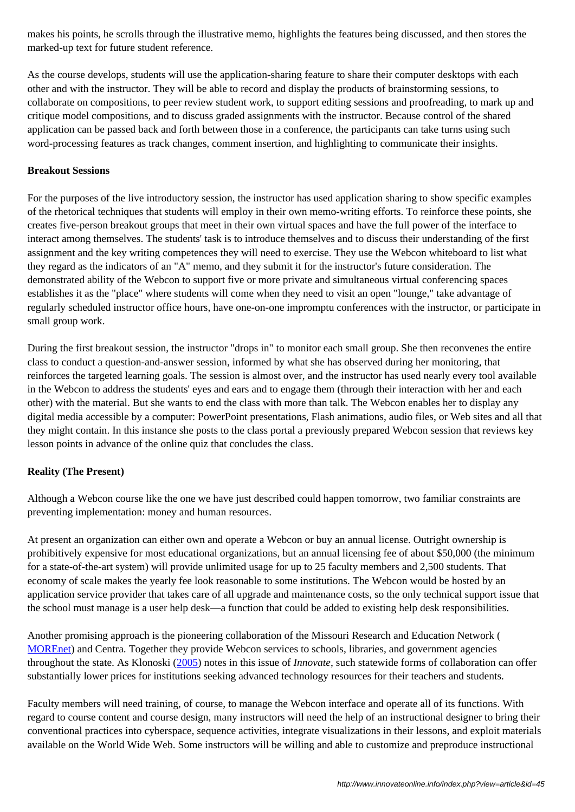marked-up text for future student reference.

As the course develops, students will use the application-sharing feature to share their computer desktops with each other and with the instructor. They will be able to record and display the products of brainstorming sessions, to collaborate on compositions, to peer review student work, to support editing sessions and proofreading, to mark up and critique model compositions, and to discuss graded assignments with the instructor. Because control of the shared application can be passed back and forth between those in a conference, the participants can take turns using such word-processing features as track changes, comment insertion, and highlighting to communicate their insights.

# **Breakout Sessions**

For the purposes of the live introductory session, the instructor has used application sharing to show specific examples of the rhetorical techniques that students will employ in their own memo-writing efforts. To reinforce these points, she creates five-person breakout groups that meet in their own virtual spaces and have the full power of the interface to interact among themselves. The students' task is to introduce themselves and to discuss their understanding of the first assignment and the key writing competences they will need to exercise. They use the Webcon whiteboard to list what they regard as the indicators of an "A" memo, and they submit it for the instructor's future consideration. The demonstrated ability of the Webcon to support five or more private and simultaneous virtual conferencing spaces establishes it as the "place" where students will come when they need to visit an open "lounge," take advantage of regularly scheduled instructor office hours, have one-on-one impromptu conferences with the instructor, or participate in small group work.

During the first breakout session, the instructor "drops in" to monitor each small group. She then reconvenes the entire class to conduct a question-and-answer session, informed by what she has observed during her monitoring, that reinforces the targeted learning goals. The session is almost over, and the instructor has used nearly every tool available in the Webcon to address the students' eyes and ears and to engage them (through their interaction with her and each other) with the material. But she wants to end the class with more than talk. The Webcon enables her to display any digital media accessible by a computer: PowerPoint presentations, Flash animations, audio files, or Web sites and all that they might contain. In this instance she posts to the class portal a previously prepared Webcon session that reviews key lesson points in advance of the online quiz that concludes the class.

# **Reality (The Present)**

Although a Webcon course like the one we have just described could happen tomorrow, two familiar constraints are preventing implementation: money and human resources.

At present an organization can either own and operate a Webcon or buy an annual license. Outright ownership is prohibitively expensive for most educational organizations, but an annual licensing fee of about \$50,000 (the minimum for a state-of-the-art system) will provide unlimited usage for up to 25 faculty members and 2,500 students. That economy of scale makes the yearly fee look reasonable to some institutions. The Webcon would be hosted by an application service provider that takes care of all upgrade and maintenance costs, so the only technical support issue that the school must manage is a user help desk—a function that could be added to existing help desk responsibilities.

Another promising approach is the pioneering collaboration of the Missouri Research and Education Network ( MOREnet) and Centra. Together they provide Webcon services to schools, libraries, and government agencies throughout the state. As Klonoski (2005) notes in this issue of *Innovate*, such statewide forms of collaboration can offer substantially lower prices for institutions seeking advanced technology resources for their teachers and students.

[Faculty me](http://www.more.net/services/e-conferencing)mbers will need training, of course, to manage the Webcon interface and operate all of its functions. With regard to course content and cours[e desig](http://www.innovateonline.info/index.php?view=article&id=69)n, many instructors will need the help of an instructional designer to bring their conventional practices into cyberspace, sequence activities, integrate visualizations in their lessons, and exploit materials available on the World Wide Web. Some instructors will be willing and able to customize and preproduce instructional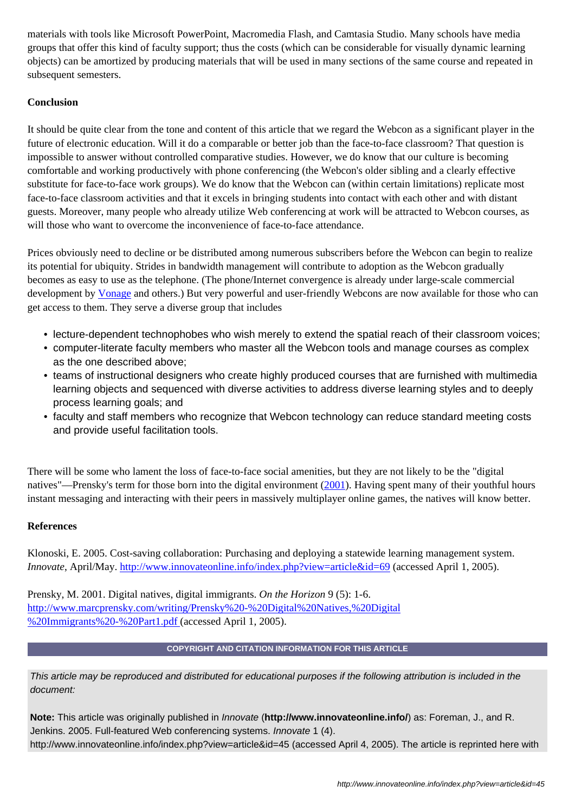s that offer this kind of faculty support; thus the costs (which can be considerable for visually dynamic learning objects) can be amortized by producing materials that will be used in many sections of the same course and repeated in subsequent semesters.

# **Conclusion**

It should be quite clear from the tone and content of this article that we regard the Webcon as a significant player in the future of electronic education. Will it do a comparable or better job than the face-to-face classroom? That question is impossible to answer without controlled comparative studies. However, we do know that our culture is becoming comfortable and working productively with phone conferencing (the Webcon's older sibling and a clearly effective substitute for face-to-face work groups). We do know that the Webcon can (within certain limitations) replicate most face-to-face classroom activities and that it excels in bringing students into contact with each other and with distant guests. Moreover, many people who already utilize Web conferencing at work will be attracted to Webcon courses, as will those who want to overcome the inconvenience of face-to-face attendance.

Prices obviously need to decline or be distributed among numerous subscribers before the Webcon can begin to realize its potential for ubiquity. Strides in bandwidth management will contribute to adoption as the Webcon gradually becomes as easy to use as the telephone. (The phone/Internet convergence is already under large-scale commercial development by Vonage and others.) But very powerful and user-friendly Webcons are now available for those who can get access to them. They serve a diverse group that includes

- lecture-dependent technophobes who wish merely to extend the spatial reach of their classroom voices;
- computer[-literate](http://www.vonage.com/) faculty members who master all the Webcon tools and manage courses as complex as the one described above;
- teams of instructional designers who create highly produced courses that are furnished with multimedia learning objects and sequenced with diverse activities to address diverse learning styles and to deeply process learning goals; and
- faculty and staff members who recognize that Webcon technology can reduce standard meeting costs and provide useful facilitation tools.

There will be some who lament the loss of face-to-face social amenities, but they are not likely to be the "digital natives"—Prensky's term for those born into the digital environment (2001). Having spent many of their youthful hours instant messaging and interacting with their peers in massively multiplayer online games, the natives will know better.

# **References**

Klonoski, E. 2005. Cost-saving collaboration: Purchasing and deploying a statewide learning management system. *Innovate*, April/May. http://www.innovateonline.info/index.php?view=article&id=69 (accessed April 1, 2005).

Prensky, M. 2001. Digital natives, digital immigrants. *On the Horizon* 9 (5): 1-6. http://www.marcpren[sky.com/writing/Prensky%20-%20Digital%20Natives,%20Digit](http://www.innovateonline.info/index.php?view=article&id=69)al %20Immigrants%20-%20Part1.pdf (accessed April 1, 2005).

# **[COPYRIGHT AND CITATION INFORMATION FOR THIS ARTICL](http://www.marcprensky.com/writing/Prensky%20-%20Digital%20Natives,%20Digital%20Immigrants%20-%20Part1.pdf)E**

[This article may be reproduced and](http://www.marcprensky.com/writing/Prensky%20-%20Digital%20Natives,%20Digital%20Immigrants%20-%20Part1.pdf) distributed for educational purposes if the following attribution is included in the document:

**Note:** This article was originally published in Innovate (**http://www.innovateonline.info/**) as: Foreman, J., and R. Jenkins. 2005. Full-featured Web conferencing systems. Innovate 1 (4). http://www.innovateonline.info/index.php?view=article&id=45 (accessed April 4, 2005). The article is reprinted here with